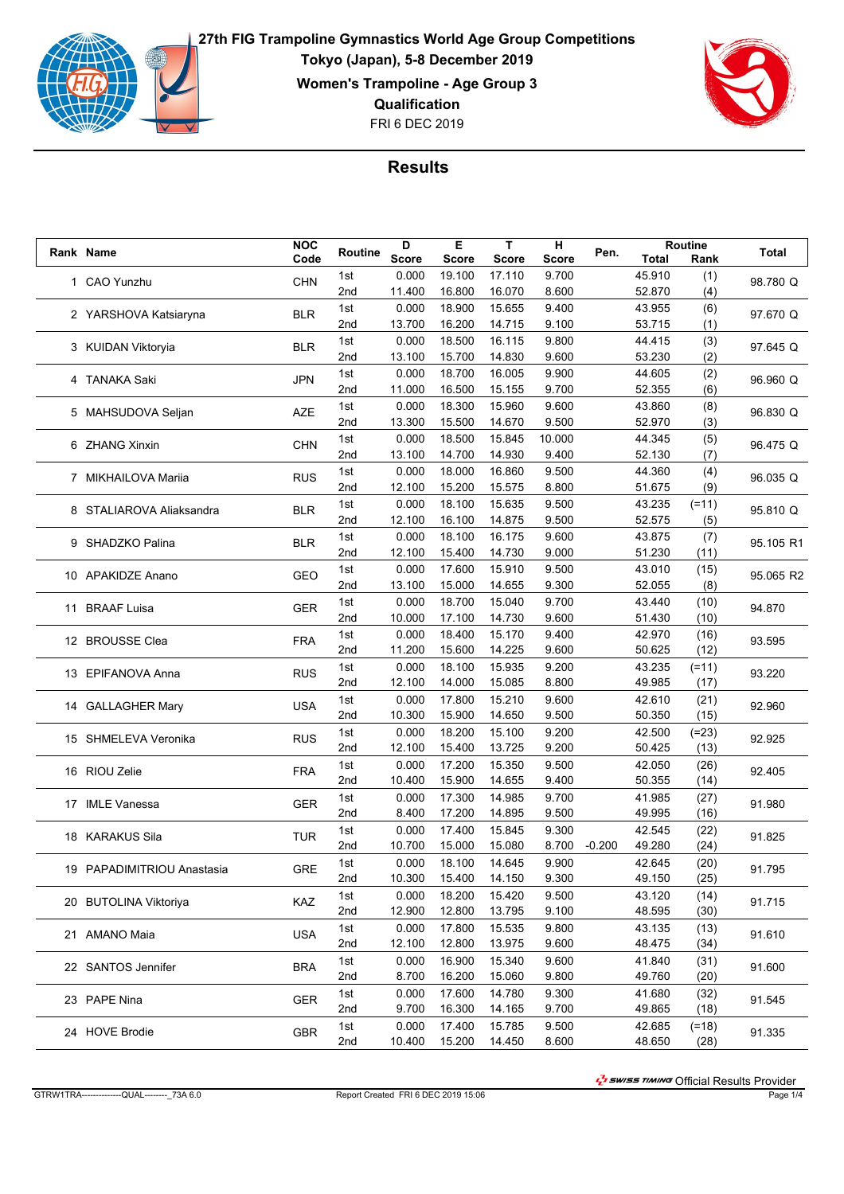

FRI 6 DEC 2019 **27th FIG Trampoline Gymnastics World Age Group Competitions Tokyo (Japan), 5-8 December 2019 Women's Trampoline - Age Group 3 Qualification**



## **Results**

|  | Rank Name                  | <b>NOC</b> | Routine | D            | Е            | T.           | н            | Pen.     |              | Routine      | Total     |
|--|----------------------------|------------|---------|--------------|--------------|--------------|--------------|----------|--------------|--------------|-----------|
|  |                            | Code       |         | <b>Score</b> | <b>Score</b> | <b>Score</b> | <b>Score</b> |          | <b>Total</b> | Rank         |           |
|  | 1 CAO Yunzhu               | <b>CHN</b> | 1st     | 0.000        | 19.100       | 17.110       | 9.700        |          | 45.910       | (1)          | 98.780 Q  |
|  |                            |            | 2nd     | 11.400       | 16.800       | 16.070       | 8.600        |          | 52.870       | (4)          |           |
|  | 2 YARSHOVA Katsiaryna      | <b>BLR</b> | 1st     | 0.000        | 18.900       | 15.655       | 9.400        |          | 43.955       | (6)          | 97.670 Q  |
|  |                            |            | 2nd     | 13.700       | 16.200       | 14.715       | 9.100        |          | 53.715       | (1)          |           |
|  | 3 KUIDAN Viktoryia         | <b>BLR</b> | 1st     | 0.000        | 18.500       | 16.115       | 9.800        |          | 44.415       | (3)          | 97.645 Q  |
|  |                            |            | 2nd     | 13.100       | 15.700       | 14.830       | 9.600        |          | 53.230       | (2)          |           |
|  | 4 TANAKA Saki              |            | 1st     | 0.000        | 18.700       | 16.005       | 9.900        |          | 44.605       | (2)          |           |
|  |                            | <b>JPN</b> | 2nd     | 11.000       | 16.500       | 15.155       | 9.700        |          | 52.355       | (6)          | 96.960 Q  |
|  |                            |            | 1st     | 0.000        | 18.300       | 15.960       | 9.600        |          | 43.860       | (8)          |           |
|  | 5 MAHSUDOVA Seljan         | <b>AZE</b> | 2nd     | 13.300       | 15.500       | 14.670       | 9.500        |          | 52.970       | (3)          | 96.830 Q  |
|  |                            |            | 1st     | 0.000        | 18.500       | 15.845       | 10.000       |          | 44.345       | (5)          |           |
|  | 6 ZHANG Xinxin             | <b>CHN</b> | 2nd     | 13.100       | 14.700       | 14.930       | 9.400        |          | 52.130       | (7)          | 96.475 Q  |
|  |                            |            | 1st     | 0.000        | 18.000       | 16.860       | 9.500        |          | 44.360       | (4)          |           |
|  | 7 MIKHAILOVA Mariia        | <b>RUS</b> | 2nd     | 12.100       | 15.200       | 15.575       | 8.800        |          | 51.675       | (9)          | 96.035 Q  |
|  |                            |            |         |              |              |              |              |          |              |              |           |
|  | 8 STALIAROVA Aliaksandra   | <b>BLR</b> | 1st     | 0.000        | 18.100       | 15.635       | 9.500        |          | 43.235       | $(=11)$      | 95.810 Q  |
|  |                            |            | 2nd     | 12.100       | 16.100       | 14.875       | 9.500        |          | 52.575       | (5)          |           |
|  | 9 SHADZKO Palina           | <b>BLR</b> | 1st     | 0.000        | 18.100       | 16.175       | 9.600        |          | 43.875       | (7)          | 95.105 R1 |
|  |                            |            | 2nd     | 12.100       | 15.400       | 14.730       | 9.000        |          | 51.230       | (11)         |           |
|  | 10 APAKIDZE Anano          | <b>GEO</b> | 1st     | 0.000        | 17.600       | 15.910       | 9.500        |          | 43.010       | (15)         | 95.065 R2 |
|  |                            |            | 2nd     | 13.100       | 15.000       | 14.655       | 9.300        |          | 52.055       | (8)          |           |
|  | 11 BRAAF Luisa             | <b>GER</b> | 1st     | 0.000        | 18.700       | 15.040       | 9.700        |          | 43.440       | (10)         | 94.870    |
|  |                            | 2nd        | 10.000  | 17.100       | 14.730       | 9.600        |              | 51.430   | (10)         |              |           |
|  | 12 BROUSSE Clea            | <b>FRA</b> | 1st     | 0.000        | 18.400       | 15.170       | 9.400        |          | 42.970       | (16)         | 93.595    |
|  |                            |            | 2nd     | 11.200       | 15.600       | 14.225       | 9.600        |          | 50.625       | (12)         |           |
|  |                            |            | 1st     | 0.000        | 18.100       | 15.935       | 9.200        |          | 43.235       | $(=11)$      |           |
|  | 13 EPIFANOVA Anna          | <b>RUS</b> | 2nd     | 12.100       | 14.000       | 15.085       | 8.800        |          | 49.985       | (17)         | 93.220    |
|  |                            |            | 1st     | 0.000        | 17.800       | 15.210       | 9.600        |          | 42.610       | (21)         |           |
|  | 14 GALLAGHER Mary          | <b>USA</b> | 2nd     | 10.300       | 15.900       | 14.650       | 9.500        |          | 50.350       | (15)         | 92.960    |
|  |                            |            | 1st     | 0.000        | 18.200       | 15.100       | 9.200        |          | 42.500       | $(=23)$      |           |
|  | 15 SHMELEVA Veronika       | <b>RUS</b> | 2nd     | 12.100       | 15.400       | 13.725       | 9.200        |          | 50.425       | (13)         | 92.925    |
|  |                            |            | 1st     | 0.000        | 17.200       | 15.350       | 9.500        |          | 42.050       |              |           |
|  | 16 RIOU Zelie              | <b>FRA</b> | 2nd     | 10.400       | 15.900       | 14.655       | 9.400        |          | 50.355       | (26)<br>(14) | 92.405    |
|  |                            |            |         |              |              |              |              |          |              |              |           |
|  | 17 IMLE Vanessa            | <b>GER</b> | 1st     | 0.000        | 17.300       | 14.985       | 9.700        |          | 41.985       | (27)         | 91.980    |
|  |                            |            | 2nd     | 8.400        | 17.200       | 14.895       | 9.500        |          | 49.995       | (16)         |           |
|  | 18 KARAKUS Sila            | <b>TUR</b> | 1st     | 0.000        | 17.400       | 15.845       | 9.300        |          | 42.545       | (22)         | 91.825    |
|  |                            |            | 2nd     | 10.700       | 15.000       | 15.080       | 8.700        | $-0.200$ | 49.280       | (24)         |           |
|  | 19 PAPADIMITRIOU Anastasia | <b>GRE</b> | 1st     | 0.000        | 18.100       | 14.645       | 9.900        |          | 42.645       | (20)         | 91.795    |
|  |                            |            | 2nd     | 10.300       | 15.400       | 14.150       | 9.300        |          | 49.150       | (25)         |           |
|  | 20 BUTOLINA Viktoriya      | KAZ        | 1st     | 0.000        | 18.200       | 15.420       | 9.500        |          | 43.120       | (14)         | 91.715    |
|  |                            |            | 2nd     | 12.900       | 12.800       | 13.795       | 9.100        |          | 48.595       | (30)         |           |
|  |                            |            | 1st     | 0.000        | 17.800       | 15.535       | 9.800        |          | 43.135       | (13)         |           |
|  | 21 AMANO Maia              | <b>USA</b> | 2nd     | 12.100       | 12.800       | 13.975       | 9.600        |          | 48.475       | (34)         | 91.610    |
|  | 22 SANTOS Jennifer         | <b>BRA</b> | 1st     | 0.000        | 16.900       | 15.340       | 9.600        |          | 41.840       | (31)         |           |
|  |                            |            | 2nd     | 8.700        | 16.200       | 15.060       | 9.800        |          | 49.760       | (20)         | 91.600    |
|  |                            |            | 1st     | 0.000        | 17.600       | 14.780       | 9.300        |          | 41.680       | (32)         |           |
|  | 23 PAPE Nina               | GER        | 2nd     | 9.700        | 16.300       | 14.165       | 9.700        |          | 49.865       | (18)         | 91.545    |
|  |                            |            | 1st     | 0.000        | 17.400       | 15.785       | 9.500        |          | 42.685       | $(=18)$      |           |
|  | 24 HOVE Brodie             | <b>GBR</b> | 2nd     | 10.400       | 15.200       | 14.450       | 8.600        |          | 48.650       | (28)         | 91.335    |
|  |                            |            |         |              |              |              |              |          |              |              |           |

הואד ביש ובי Swrss rm/wa Official Results Provider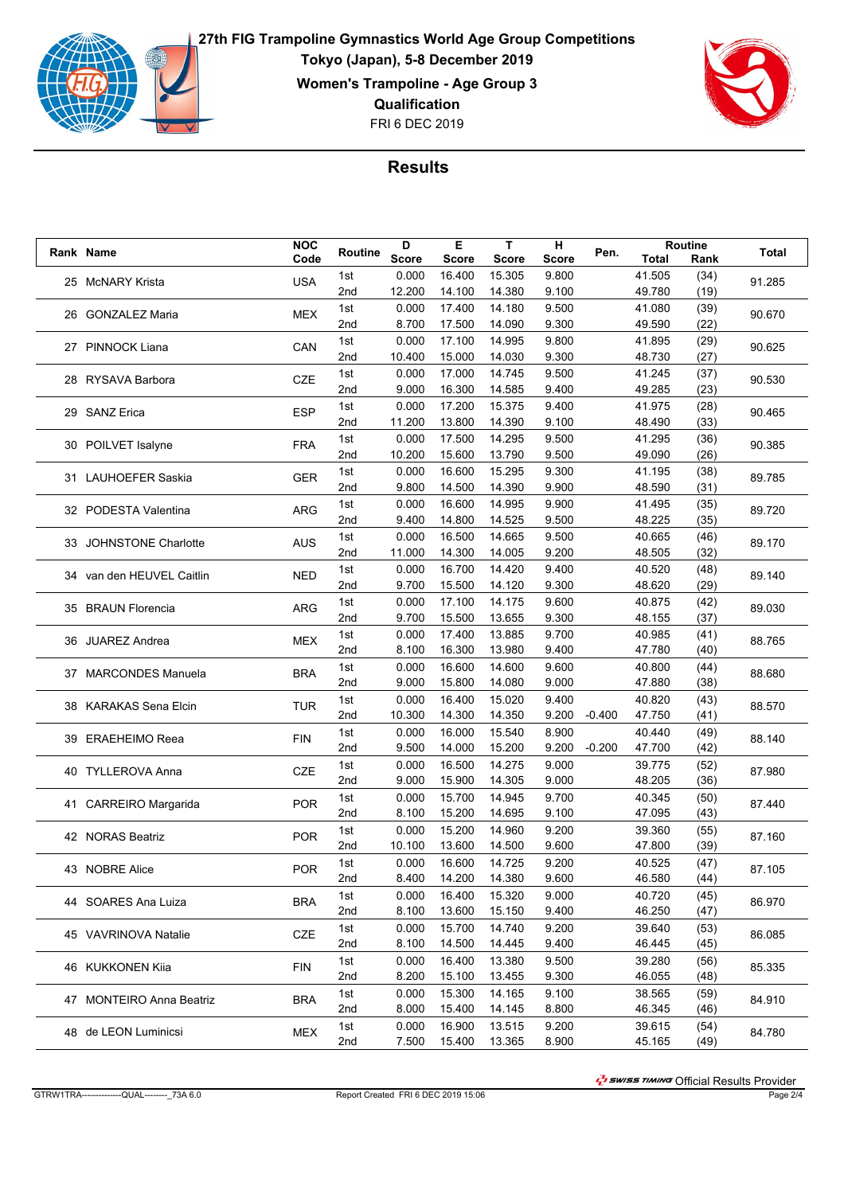

FRI 6 DEC 2019 **27th FIG Trampoline Gymnastics World Age Group Competitions Tokyo (Japan), 5-8 December 2019 Women's Trampoline - Age Group 3 Qualification**



## **Results**

|  | Rank Name                 | <b>NOC</b> | Routine | D            | Е            | T            | н            | Pen.     |              | Routine | Total  |
|--|---------------------------|------------|---------|--------------|--------------|--------------|--------------|----------|--------------|---------|--------|
|  |                           | Code       |         | <b>Score</b> | <b>Score</b> | <b>Score</b> | <b>Score</b> |          | <b>Total</b> | Rank    |        |
|  | 25 McNARY Krista          | <b>USA</b> | 1st     | 0.000        | 16.400       | 15.305       | 9.800        |          | 41.505       | (34)    | 91.285 |
|  |                           |            | 2nd     | 12.200       | 14.100       | 14.380       | 9.100        |          | 49.780       | (19)    |        |
|  | 26 GONZALEZ Maria         | <b>MEX</b> | 1st     | 0.000        | 17.400       | 14.180       | 9.500        |          | 41.080       | (39)    | 90.670 |
|  |                           |            | 2nd     | 8.700        | 17.500       | 14.090       | 9.300        |          | 49.590       | (22)    |        |
|  | 27 PINNOCK Liana          | CAN        | 1st     | 0.000        | 17.100       | 14.995       | 9.800        |          | 41.895       | (29)    | 90.625 |
|  |                           |            | 2nd     | 10.400       | 15.000       | 14.030       | 9.300        |          | 48.730       | (27)    |        |
|  |                           |            | 1st     | 0.000        | 17.000       | 14.745       | 9.500        |          | 41.245       | (37)    |        |
|  | 28 RYSAVA Barbora         | <b>CZE</b> | 2nd     | 9.000        | 16.300       | 14.585       | 9.400        |          | 49.285       | (23)    | 90.530 |
|  |                           |            | 1st     | 0.000        | 17.200       | 15.375       | 9.400        |          | 41.975       | (28)    |        |
|  | 29 SANZ Erica             | <b>ESP</b> | 2nd     | 11.200       | 13.800       | 14.390       | 9.100        |          | 48.490       | (33)    | 90.465 |
|  |                           |            | 1st     | 0.000        | 17.500       | 14.295       | 9.500        |          | 41.295       | (36)    |        |
|  | 30 POILVET Isalyne        | <b>FRA</b> | 2nd     | 10.200       | 15.600       | 13.790       | 9.500        |          | 49.090       | (26)    | 90.385 |
|  |                           |            | 1st     | 0.000        | 16.600       | 15.295       | 9.300        |          | 41.195       | (38)    |        |
|  | 31 LAUHOEFER Saskia       | <b>GER</b> | 2nd     | 9.800        | 14.500       | 14.390       | 9.900        |          | 48.590       | (31)    | 89.785 |
|  |                           |            | 1st     | 0.000        | 16.600       | 14.995       | 9.900        |          | 41.495       |         |        |
|  | 32 PODESTA Valentina      | ARG        | 2nd     | 9.400        | 14.800       | 14.525       | 9.500        |          | 48.225       | (35)    | 89.720 |
|  |                           |            |         |              |              |              |              |          |              | (35)    |        |
|  | 33 JOHNSTONE Charlotte    | <b>AUS</b> | 1st     | 0.000        | 16.500       | 14.665       | 9.500        |          | 40.665       | (46)    | 89.170 |
|  |                           |            | 2nd     | 11.000       | 14.300       | 14.005       | 9.200        |          | 48.505       | (32)    |        |
|  | 34 van den HEUVEL Caitlin | <b>NED</b> | 1st     | 0.000        | 16.700       | 14.420       | 9.400        |          | 40.520       | (48)    | 89.140 |
|  |                           |            | 2nd     | 9.700        | 15.500       | 14.120       | 9.300        |          | 48.620       | (29)    |        |
|  | 35 BRAUN Florencia        | <b>ARG</b> | 1st     | 0.000        | 17.100       | 14.175       | 9.600        |          | 40.875       | (42)    | 89.030 |
|  |                           | 2nd        | 9.700   | 15.500       | 13.655       | 9.300        |              | 48.155   | (37)         |         |        |
|  | 36 JUAREZ Andrea          | <b>MEX</b> | 1st     | 0.000        | 17.400       | 13.885       | 9.700        |          | 40.985       | (41)    | 88.765 |
|  |                           |            | 2nd     | 8.100        | 16.300       | 13.980       | 9.400        |          | 47.780       | (40)    |        |
|  | 37 MARCONDES Manuela      | <b>BRA</b> | 1st     | 0.000        | 16.600       | 14.600       | 9.600        |          | 40.800       | (44)    | 88.680 |
|  |                           |            | 2nd     | 9.000        | 15.800       | 14.080       | 9.000        |          | 47.880       | (38)    |        |
|  | 38 KARAKAS Sena Elcin     | <b>TUR</b> | 1st     | 0.000        | 16.400       | 15.020       | 9.400        |          | 40.820       | (43)    | 88.570 |
|  |                           |            | 2nd     | 10.300       | 14.300       | 14.350       | 9.200        | $-0.400$ | 47.750       | (41)    |        |
|  |                           |            | 1st     | 0.000        | 16.000       | 15.540       | 8.900        |          | 40.440       | (49)    |        |
|  | 39 ERAEHEIMO Reea         | <b>FIN</b> | 2nd     | 9.500        | 14.000       | 15.200       | 9.200        | $-0.200$ | 47.700       | (42)    | 88.140 |
|  |                           |            | 1st     | 0.000        | 16.500       | 14.275       | 9.000        |          | 39.775       | (52)    |        |
|  | 40 TYLLEROVA Anna         | <b>CZE</b> | 2nd     | 9.000        | 15.900       | 14.305       | 9.000        |          | 48.205       | (36)    | 87.980 |
|  |                           |            | 1st     | 0.000        | 15.700       | 14.945       | 9.700        |          | 40.345       | (50)    |        |
|  | 41 CARREIRO Margarida     | <b>POR</b> | 2nd     | 8.100        | 15.200       | 14.695       | 9.100        |          | 47.095       | (43)    | 87.440 |
|  |                           |            | 1st     | 0.000        | 15.200       | 14.960       | 9.200        |          | 39.360       | (55)    |        |
|  | 42 NORAS Beatriz          | <b>POR</b> | 2nd     | 10.100       | 13.600       | 14.500       | 9.600        |          | 47.800       | (39)    | 87.160 |
|  |                           |            | 1st     | 0.000        | 16.600       | 14.725       | 9.200        |          | 40.525       |         |        |
|  | 43 NOBRE Alice            | <b>POR</b> |         |              |              |              |              |          |              | (47)    | 87.105 |
|  |                           |            | 2nd     | 8.400        | 14.200       | 14.380       | 9.600        |          | 46.580       | (44)    |        |
|  | 44 SOARES Ana Luiza       | <b>BRA</b> | 1st     | 0.000        | 16.400       | 15.320       | 9.000        |          | 40.720       | (45)    | 86.970 |
|  |                           |            | 2nd     | 8.100        | 13.600       | 15.150       | 9.400        |          | 46.250       | (47)    |        |
|  | 45 VAVRINOVA Natalie      | CZE        | 1st     | 0.000        | 15.700       | 14.740       | 9.200        |          | 39.640       | (53)    | 86.085 |
|  |                           |            | 2nd     | 8.100        | 14.500       | 14.445       | 9.400        |          | 46.445       | (45)    |        |
|  | 46 KUKKONEN Kiia          | FIN        | 1st     | 0.000        | 16.400       | 13.380       | 9.500        |          | 39.280       | (56)    | 85.335 |
|  |                           |            | 2nd     | 8.200        | 15.100       | 13.455       | 9.300        |          | 46.055       | (48)    |        |
|  | 47 MONTEIRO Anna Beatriz  | <b>BRA</b> | 1st     | 0.000        | 15.300       | 14.165       | 9.100        |          | 38.565       | (59)    | 84.910 |
|  |                           |            | 2nd     | 8.000        | 15.400       | 14.145       | 8.800        |          | 46.345       | (46)    |        |
|  | 48 de LEON Luminicsi      | <b>MEX</b> | 1st     | 0.000        | 16.900       | 13.515       | 9.200        |          | 39.615       | (54)    | 84.780 |
|  |                           |            | 2nd     | 7.500        | 15.400       | 13.365       | 8.900        |          | 45.165       | (49)    |        |

הואד בישר Official Results Provider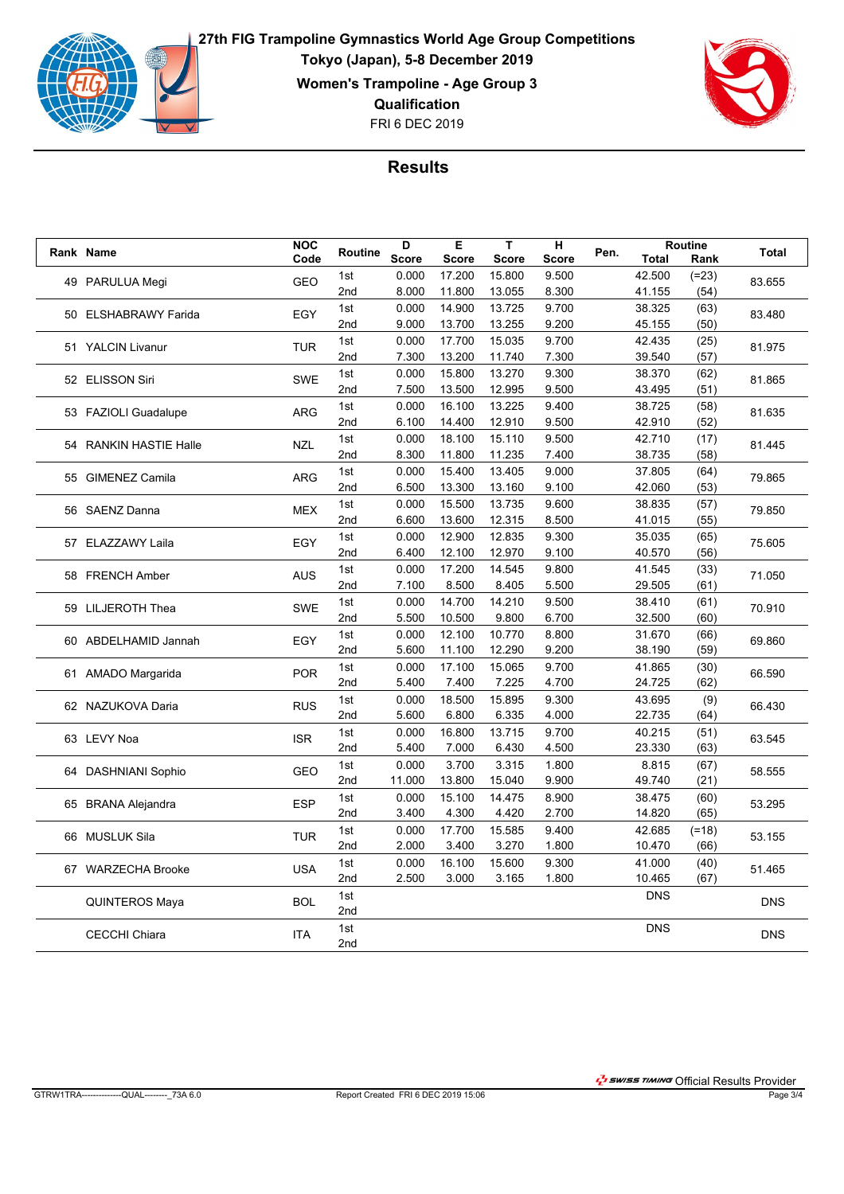

FRI 6 DEC 2019 **27th FIG Trampoline Gymnastics World Age Group Competitions Tokyo (Japan), 5-8 December 2019 Women's Trampoline - Age Group 3 Qualification**



## **Results**

|                   | Rank Name              | <b>NOC</b> | Routine         | D            | E.              | T.              | н              |        |                  | <b>Routine</b>  | <b>Total</b> |
|-------------------|------------------------|------------|-----------------|--------------|-----------------|-----------------|----------------|--------|------------------|-----------------|--------------|
|                   |                        | Code       |                 | <b>Score</b> | <b>Score</b>    | <b>Score</b>    | <b>Score</b>   | Pen.   | <b>Total</b>     | Rank            |              |
| 49 PARULUA Megi   | <b>GEO</b>             | 1st        | 0.000           | 17.200       | 15.800          | 9.500           |                | 42.500 | $(=23)$          | 83.655          |              |
|                   |                        |            | 2nd             | 8.000        | 11.800          | 13.055          | 8.300          |        | 41.155           | (54)            |              |
|                   | 50 ELSHABRAWY Farida   | EGY        | 1st             | 0.000        | 14.900          | 13.725          | 9.700          |        | 38.325           | (63)            | 83.480       |
|                   |                        |            | 2 <sub>nd</sub> | 9.000        | 13.700          | 13.255          | 9.200          |        | 45.155           | (50)            |              |
|                   | 51 YALCIN Livanur      | <b>TUR</b> | 1st             | 0.000        | 17.700          | 15.035          | 9.700          |        | 42.435           | (25)            | 81.975       |
|                   |                        |            | 2nd             | 7.300        | 13.200          | 11.740          | 7.300          |        | 39.540           | (57)            |              |
|                   | 52 ELISSON Siri        | <b>SWE</b> | 1st             | 0.000        | 15.800          | 13.270          | 9.300          |        | 38.370           | (62)            |              |
|                   |                        |            | 2nd             | 7.500        | 13.500          | 12.995          | 9.500          |        | 43.495           | (51)            | 81.865       |
|                   |                        |            | 1st             | 0.000        | 16.100          | 13.225          | 9.400          |        | 38.725           | (58)            |              |
|                   | 53 FAZIOLI Guadalupe   | <b>ARG</b> | 2 <sub>nd</sub> | 6.100        | 14.400          | 12.910          | 9.500          |        | 42.910           | (52)            | 81.635       |
|                   |                        |            | 1st             | 0.000        | 18.100          | 15.110          | 9.500          |        | 42.710           | (17)            |              |
|                   | 54 RANKIN HASTIE Halle | <b>NZL</b> | 2nd             | 8.300        | 11.800          | 11.235          | 7.400          |        | 38.735           | (58)            | 81.445       |
|                   |                        |            | 1st             | 0.000        | 15.400          | 13.405          | 9.000          |        | 37.805           | (64)            |              |
|                   | 55 GIMENEZ Camila      | <b>ARG</b> | 2nd             | 6.500        | 13.300          | 13.160          | 9.100          |        | 42.060           | (53)            | 79.865       |
|                   |                        |            | 1st             | 0.000        | 15.500          | 13.735          | 9.600          |        | 38.835           | (57)            |              |
|                   | 56 SAENZ Danna         | <b>MEX</b> | 2 <sub>nd</sub> | 6.600        | 13.600          | 12.315          | 8.500          |        | 41.015           | (55)            | 79.850       |
|                   |                        |            | 1st             | 0.000        | 12.900          | 12.835          | 9.300          |        | 35.035           | (65)            |              |
| 57 ELAZZAWY Laila | EGY                    | 2nd        | 6.400           | 12.100       | 12.970          | 9.100           |                | 40.570 | (56)             | 75.605          |              |
| 58 FRENCH Amber   |                        |            | 1st             | 0.000        | 17.200          | 14.545          | 9.800          |        | 41.545           | (33)            | 71.050       |
|                   |                        | <b>AUS</b> | 2nd             | 7.100        | 8.500           | 8.405           | 5.500          |        | 29.505           | (61)            |              |
|                   |                        | <b>SWE</b> | 1st             | 0.000        | 14.700          | 14.210          | 9.500          |        | 38.410           | (61)            | 70.910       |
|                   | 59 LILJEROTH Thea      |            | 2nd             | 5.500        | 10.500          | 9.800           | 6.700          |        | 32.500           | (60)            |              |
|                   |                        |            | 1st             | 0.000        | 12.100          | 10.770          | 8.800          |        | 31.670           | (66)            |              |
|                   | 60 ABDELHAMID Jannah   | EGY        | 2 <sub>nd</sub> | 5.600        | 11.100          | 12.290          | 9.200          |        | 38.190           | (59)            | 69.860       |
|                   |                        |            | 1st             | 0.000        | 17.100          | 15.065          | 9.700          |        | 41.865           | (30)            |              |
|                   | 61 AMADO Margarida     | <b>POR</b> | 2nd             | 5.400        | 7.400           | 7.225           | 4.700          |        | 24.725           | (62)            | 66.590       |
|                   |                        |            | 1st             | 0.000        | 18.500          | 15.895          | 9.300          |        | 43.695           | (9)             |              |
|                   | 62 NAZUKOVA Daria      | <b>RUS</b> | 2 <sub>nd</sub> | 5.600        | 6.800           | 6.335           | 4.000          |        | 22.735           | (64)            | 66.430       |
|                   |                        |            | 1st             | 0.000        | 16.800          | 13.715          | 9.700          |        | 40.215           | (51)            |              |
|                   | 63 LEVY Noa            | <b>ISR</b> | 2 <sub>nd</sub> | 5.400        | 7.000           | 6.430           | 4.500          |        | 23.330           | (63)            | 63.545       |
|                   |                        |            | 1st             | 0.000        | 3.700           | 3.315           | 1.800          |        | 8.815            | (67)            |              |
|                   | 64 DASHNIANI Sophio    | <b>GEO</b> | 2nd             | 11.000       | 13.800          | 15.040          | 9.900          |        | 49.740           | (21)            | 58.555       |
|                   |                        |            | 1st             | 0.000        | 15.100          | 14.475          | 8.900          |        | 38.475           | (60)            |              |
|                   | 65 BRANA Alejandra     | <b>ESP</b> | 2nd             | 3.400        | 4.300           | 4.420           | 2.700          |        | 14.820           | (65)            | 53.295       |
|                   |                        |            | 1st             | 0.000        | 17.700          | 15.585          | 9.400          |        |                  |                 |              |
|                   | 66 MUSLUK Sila         | <b>TUR</b> | 2 <sub>nd</sub> | 2.000        | 3.400           | 3.270           | 1.800          |        | 42.685<br>10.470 | $(=18)$<br>(66) | 53.155       |
|                   | 67 WARZECHA Brooke     |            | 1st             | 0.000        |                 |                 |                |        | 41.000           |                 |              |
|                   |                        | <b>USA</b> | 2nd             | 2.500        | 16.100<br>3.000 | 15.600<br>3.165 | 9.300<br>1.800 |        | 10.465           | (40)<br>(67)    | 51.465       |
|                   |                        |            |                 |              |                 |                 |                |        |                  |                 |              |
|                   | <b>QUINTEROS Maya</b>  | <b>BOL</b> | 1st<br>2nd      |              |                 |                 |                |        | <b>DNS</b>       |                 | <b>DNS</b>   |
|                   |                        |            |                 |              |                 |                 |                |        |                  |                 |              |
|                   | <b>CECCHI Chiara</b>   | <b>ITA</b> | 1st             |              |                 |                 |                |        | <b>DNS</b>       |                 | <b>DNS</b>   |
|                   |                        |            | 2 <sub>nd</sub> |              |                 |                 |                |        |                  |                 |              |